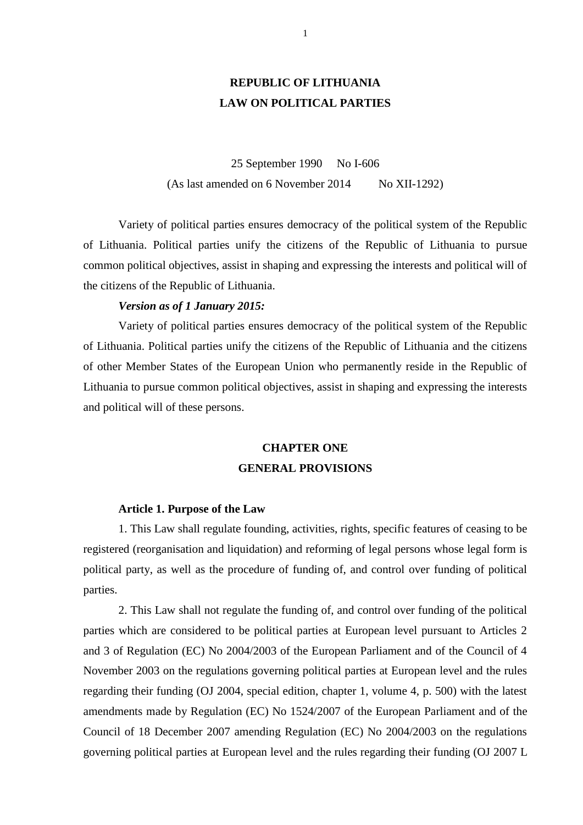## **REPUBLIC OF LITHUANIA LAW ON POLITICAL PARTIES**

25 September 1990 No I-606  $(As last amended on 6 November 2014 No XII-1292)$ 

Variety of political parties ensures democracy of the political system of the Republic of Lithuania. Political parties unify the citizens of the Republic of Lithuania to pursue common political objectives, assist in shaping and expressing the interests and political will of the citizens of the Republic of Lithuania.

## *Version as of 1 January 2015:*

Variety of political parties ensures democracy of the political system of the Republic of Lithuania. Political parties unify the citizens of the Republic of Lithuania and the citizens of other Member States of the European Union who permanently reside in the Republic of Lithuania to pursue common political objectives, assist in shaping and expressing the interests and political will of these persons.

## **CHAPTER ONE GENERAL PROVISIONS**

#### **Article 1. Purpose of the Law**

1. This Law shall regulate founding, activities, rights, specific features of ceasing to be registered (reorganisation and liquidation) and reforming of legal persons whose legal form is political party, as well as the procedure of funding of, and control over funding of political parties.

2. This Law shall not regulate the funding of, and control over funding of the political parties which are considered to be political parties at European level pursuant to Articles 2 and 3 of Regulation (EC) No 2004/2003 of the European Parliament and of the Council of 4 November 2003 on the regulations governing political parties at European level and the rules regarding their funding (OJ 2004, special edition, chapter 1, volume 4, p. 500) with the latest amendments made by Regulation (EC) No 1524/2007 of the European Parliament and of the Council of 18 December 2007 amending Regulation (EC) No 2004/2003 on the regulations governing political parties at European level and the rules regarding their funding (OJ 2007 L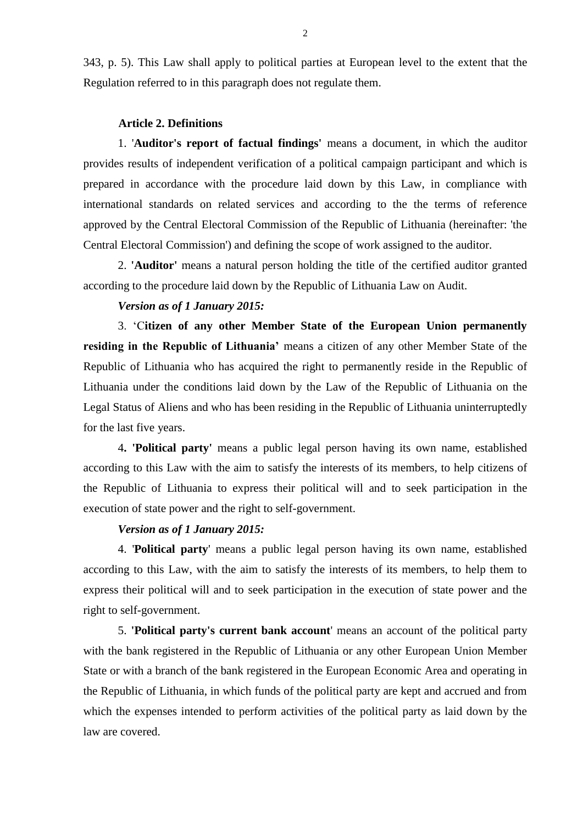343, p. 5). This Law shall apply to political parties at European level to the extent that the Regulation referred to in this paragraph does not regulate them.

### **Article 2. Definitions**

1. '**Auditor's report of factual findings'** means a document, in which the auditor provides results of independent verification of a political campaign participant and which is prepared in accordance with the procedure laid down by this Law, in compliance with international standards on related services and according to the the terms of reference approved by the Central Electoral Commission of the Republic of Lithuania (hereinafter: 'the Central Electoral Commission') and defining the scope of work assigned to the auditor.

2. **'Auditor'** means a natural person holding the title of the certified auditor granted according to the procedure laid down by the Republic of Lithuania Law on Audit.

## *Version as of 1 January 2015:*

3. 'C**itizen of any other Member State of the European Union permanently residing in the Republic of Lithuania'** means a citizen of any other Member State of the Republic of Lithuania who has acquired the right to permanently reside in the Republic of Lithuania under the conditions laid down by the Law of the Republic of Lithuania on the Legal Status of Aliens and who has been residing in the Republic of Lithuania uninterruptedly for the last five years.

4**. 'Political party'** means a public legal person having its own name, established according to this Law with the aim to satisfy the interests of its members, to help citizens of the Republic of Lithuania to express their political will and to seek participation in the execution of state power and the right to self-government.

### *Version as of 1 January 2015:*

4. '**Political party**' means a public legal person having its own name, established according to this Law, with the aim to satisfy the interests of its members, to help them to express their political will and to seek participation in the execution of state power and the right to self-government.

5. **'Political party's current bank account**' means an account of the political party with the bank registered in the Republic of Lithuania or any other European Union Member State or with a branch of the bank registered in the European Economic Area and operating in the Republic of Lithuania, in which funds of the political party are kept and accrued and from which the expenses intended to perform activities of the political party as laid down by the law are covered.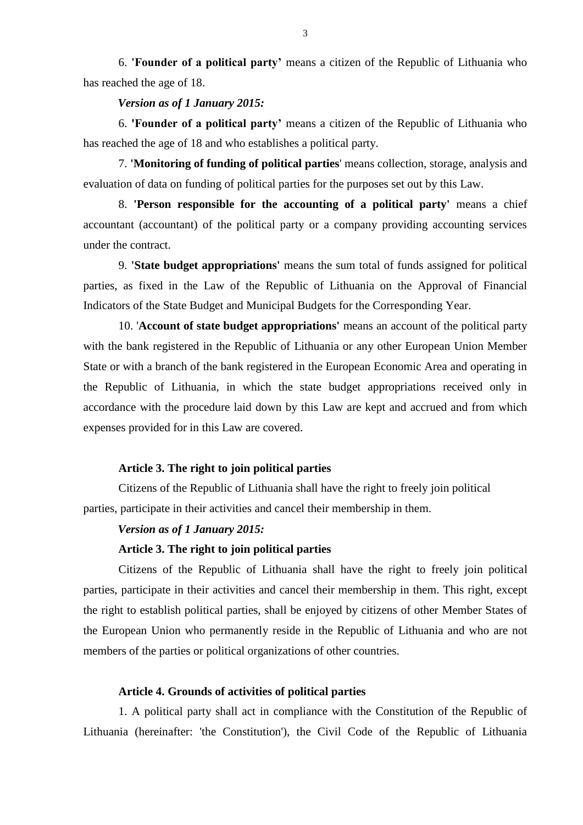6. **'Founder of a political party'** means a citizen of the Republic of Lithuania who has reached the age of 18.

## *Version as of 1 January 2015:*

6. **'Founder of a political party'** means a citizen of the Republic of Lithuania who has reached the age of 18 and who establishes a political party.

7. **'Monitoring of funding of political parties**' means collection, storage, analysis and evaluation of data on funding of political parties for the purposes set out by this Law.

8. **'Person responsible for the accounting of a political party'** means a chief accountant (accountant) of the political party or a company providing accounting services under the contract.

9. **'State budget appropriations'** means the sum total of funds assigned for political parties, as fixed in the Law of the Republic of Lithuania on the Approval of Financial Indicators of the State Budget and Municipal Budgets for the Corresponding Year.

10. '**Account of state budget appropriations'** means an account of the political party with the bank registered in the Republic of Lithuania or any other European Union Member State or with a branch of the bank registered in the European Economic Area and operating in the Republic of Lithuania, in which the state budget appropriations received only in accordance with the procedure laid down by this Law are kept and accrued and from which expenses provided for in this Law are covered.

## **Article 3. The right to join political parties**

Citizens of the Republic of Lithuania shall have the right to freely join political parties, participate in their activities and cancel their membership in them.

### *Version as of 1 January 2015:*

### **Article 3. The right to join political parties**

Citizens of the Republic of Lithuania shall have the right to freely join political parties, participate in their activities and cancel their membership in them. This right, except the right to establish political parties, shall be enjoyed by citizens of other Member States of the European Union who permanently reside in the Republic of Lithuania and who are not members of the parties or political organizations of other countries.

## **Article 4. Grounds of activities of political parties**

1. A political party shall act in compliance with the Constitution of the Republic of Lithuania (hereinafter: 'the Constitution'), the Civil Code of the Republic of Lithuania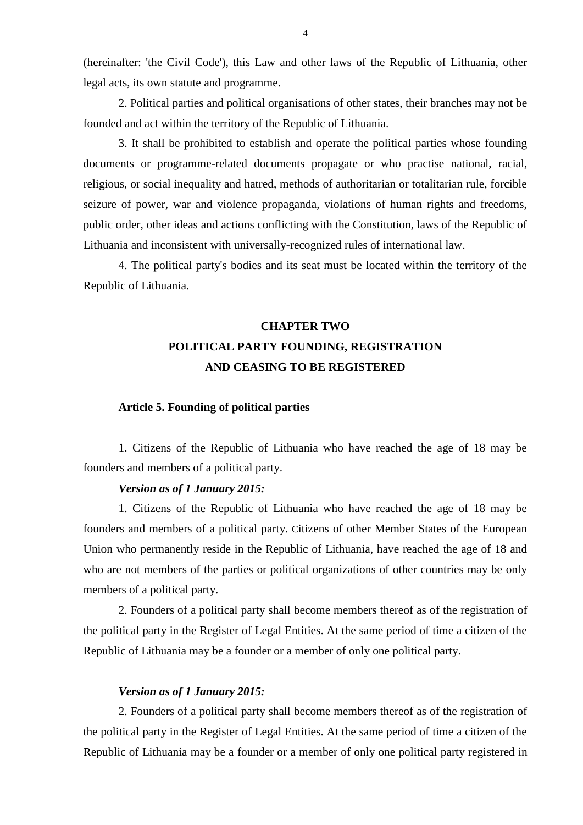(hereinafter: 'the Civil Code'), this Law and other laws of the Republic of Lithuania, other legal acts, its own statute and programme.

2. Political parties and political organisations of other states, their branches may not be founded and act within the territory of the Republic of Lithuania.

3. It shall be prohibited to establish and operate the political parties whose founding documents or programme-related documents propagate or who practise national, racial, religious, or social inequality and hatred, methods of authoritarian or totalitarian rule, forcible seizure of power, war and violence propaganda, violations of human rights and freedoms, public order, other ideas and actions conflicting with the Constitution, laws of the Republic of Lithuania and inconsistent with universally-recognized rules of international law.

4. The political party's bodies and its seat must be located within the territory of the Republic of Lithuania.

# **CHAPTER TWO POLITICAL PARTY FOUNDING, REGISTRATION AND CEASING TO BE REGISTERED**

### **Article 5. Founding of political parties**

1. Citizens of the Republic of Lithuania who have reached the age of 18 may be founders and members of a political party.

## *Version as of 1 January 2015:*

1. Citizens of the Republic of Lithuania who have reached the age of 18 may be founders and members of a political party. Citizens of other Member States of the European Union who permanently reside in the Republic of Lithuania, have reached the age of 18 and who are not members of the parties or political organizations of other countries may be only members of a political party.

2. Founders of a political party shall become members thereof as of the registration of the political party in the Register of Legal Entities. At the same period of time a citizen of the Republic of Lithuania may be a founder or a member of only one political party.

### *Version as of 1 January 2015:*

2. Founders of a political party shall become members thereof as of the registration of the political party in the Register of Legal Entities. At the same period of time a citizen of the Republic of Lithuania may be a founder or a member of only one political party registered in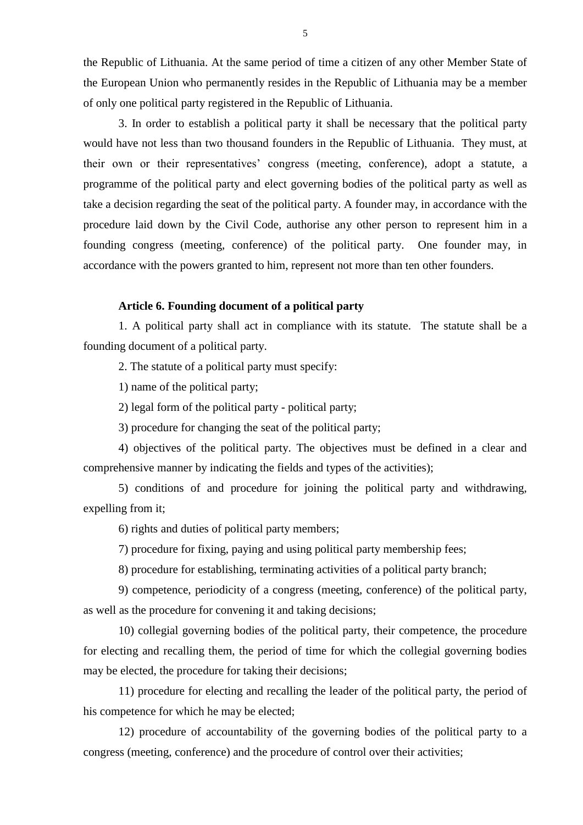the Republic of Lithuania. At the same period of time a citizen of any other Member State of the European Union who permanently resides in the Republic of Lithuania may be a member of only one political party registered in the Republic of Lithuania.

3. In order to establish a political party it shall be necessary that the political party would have not less than two thousand founders in the Republic of Lithuania. They must, at their own or their representatives' congress (meeting, conference), adopt a statute, a programme of the political party and elect governing bodies of the political party as well as take a decision regarding the seat of the political party. A founder may, in accordance with the procedure laid down by the Civil Code, authorise any other person to represent him in a founding congress (meeting, conference) of the political party. One founder may, in accordance with the powers granted to him, represent not more than ten other founders.

## **Article 6. Founding document of a political party**

1. A political party shall act in compliance with its statute. The statute shall be a founding document of a political party.

2. The statute of a political party must specify:

1) name of the political party;

2) legal form of the political party - political party;

3) procedure for changing the seat of the political party;

4) objectives of the political party. The objectives must be defined in a clear and comprehensive manner by indicating the fields and types of the activities);

5) conditions of and procedure for joining the political party and withdrawing, expelling from it;

6) rights and duties of political party members;

7) procedure for fixing, paying and using political party membership fees;

8) procedure for establishing, terminating activities of a political party branch;

9) competence, periodicity of a congress (meeting, conference) of the political party, as well as the procedure for convening it and taking decisions;

10) collegial governing bodies of the political party, their competence, the procedure for electing and recalling them, the period of time for which the collegial governing bodies may be elected, the procedure for taking their decisions;

11) procedure for electing and recalling the leader of the political party, the period of his competence for which he may be elected;

12) procedure of accountability of the governing bodies of the political party to a congress (meeting, conference) and the procedure of control over their activities;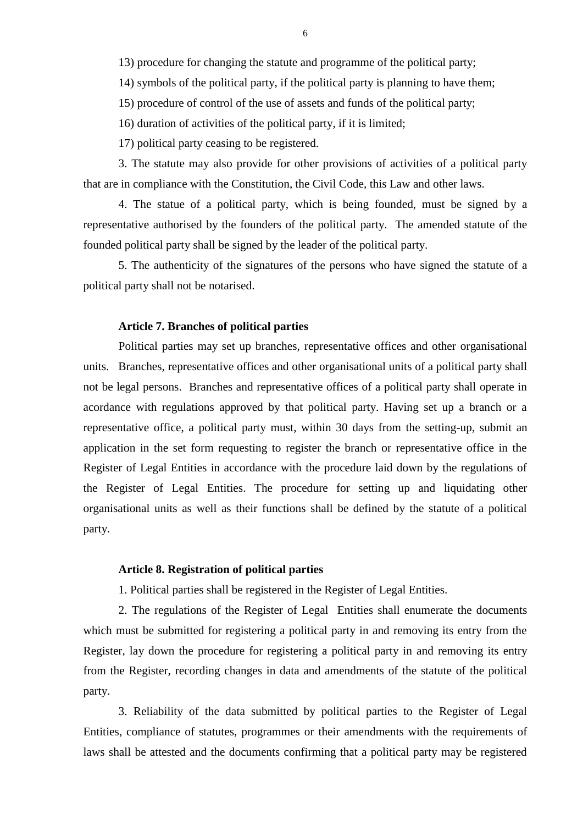13) procedure for changing the statute and programme of the political party;

14) symbols of the political party, if the political party is planning to have them;

15) procedure of control of the use of assets and funds of the political party;

16) duration of activities of the political party, if it is limited;

17) political party ceasing to be registered.

3. The statute may also provide for other provisions of activities of a political party that are in compliance with the Constitution, the Civil Code, this Law and other laws.

4. The statue of a political party, which is being founded, must be signed by a representative authorised by the founders of the political party. The amended statute of the founded political party shall be signed by the leader of the political party.

5. The authenticity of the signatures of the persons who have signed the statute of a political party shall not be notarised.

### **Article 7. Branches of political parties**

Political parties may set up branches, representative offices and other organisational units. Branches, representative offices and other organisational units of a political party shall not be legal persons. Branches and representative offices of a political party shall operate in acordance with regulations approved by that political party. Having set up a branch or a representative office, a political party must, within 30 days from the setting-up, submit an application in the set form requesting to register the branch or representative office in the Register of Legal Entities in accordance with the procedure laid down by the regulations of the Register of Legal Entities. The procedure for setting up and liquidating other organisational units as well as their functions shall be defined by the statute of a political party.

### **Article 8. Registration of political parties**

1. Political parties shall be registered in the Register of Legal Entities.

2. The regulations of the Register of Legal Entities shall enumerate the documents which must be submitted for registering a political party in and removing its entry from the Register, lay down the procedure for registering a political party in and removing its entry from the Register, recording changes in data and amendments of the statute of the political party.

3. Reliability of the data submitted by political parties to the Register of Legal Entities, compliance of statutes, programmes or their amendments with the requirements of laws shall be attested and the documents confirming that a political party may be registered

6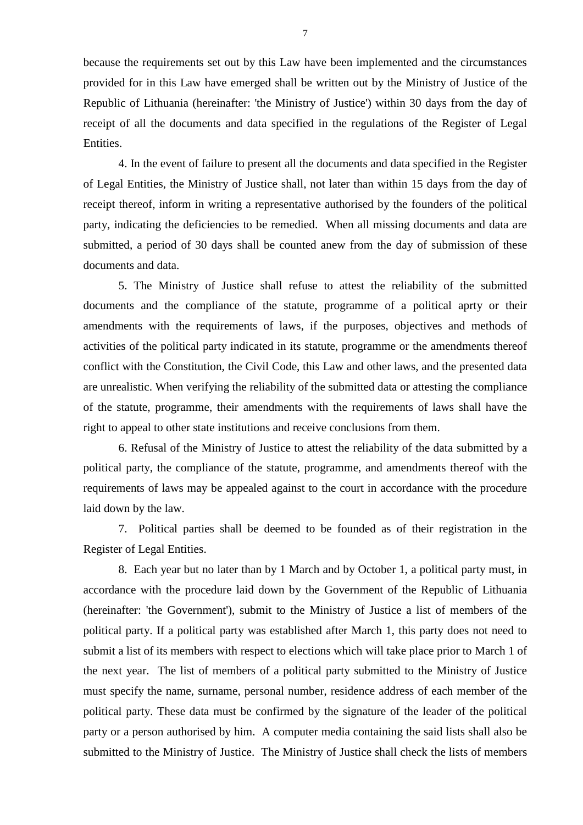because the requirements set out by this Law have been implemented and the circumstances provided for in this Law have emerged shall be written out by the Ministry of Justice of the Republic of Lithuania (hereinafter: 'the Ministry of Justice') within 30 days from the day of receipt of all the documents and data specified in the regulations of the Register of Legal Entities.

4. In the event of failure to present all the documents and data specified in the Register of Legal Entities, the Ministry of Justice shall, not later than within 15 days from the day of receipt thereof, inform in writing a representative authorised by the founders of the political party, indicating the deficiencies to be remedied. When all missing documents and data are submitted, a period of 30 days shall be counted anew from the day of submission of these documents and data.

5. The Ministry of Justice shall refuse to attest the reliability of the submitted documents and the compliance of the statute, programme of a political aprty or their amendments with the requirements of laws, if the purposes, objectives and methods of activities of the political party indicated in its statute, programme or the amendments thereof conflict with the Constitution, the Civil Code, this Law and other laws, and the presented data are unrealistic. When verifying the reliability of the submitted data or attesting the compliance of the statute, programme, their amendments with the requirements of laws shall have the right to appeal to other state institutions and receive conclusions from them.

6. Refusal of the Ministry of Justice to attest the reliability of the data submitted by a political party, the compliance of the statute, programme, and amendments thereof with the requirements of laws may be appealed against to the court in accordance with the procedure laid down by the law.

7. Political parties shall be deemed to be founded as of their registration in the Register of Legal Entities.

8. Each year but no later than by 1 March and by October 1, a political party must, in accordance with the procedure laid down by the Government of the Republic of Lithuania (hereinafter: 'the Government'), submit to the Ministry of Justice a list of members of the political party. If a political party was established after March 1, this party does not need to submit a list of its members with respect to elections which will take place prior to March 1 of the next year. The list of members of a political party submitted to the Ministry of Justice must specify the name, surname, personal number, residence address of each member of the political party. These data must be confirmed by the signature of the leader of the political party or a person authorised by him. A computer media containing the said lists shall also be submitted to the Ministry of Justice. The Ministry of Justice shall check the lists of members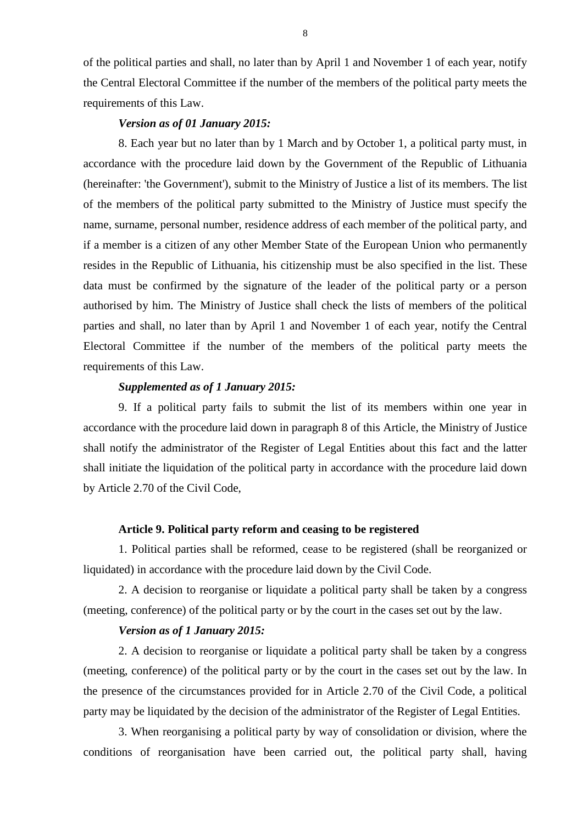of the political parties and shall, no later than by April 1 and November 1 of each year, notify the Central Electoral Committee if the number of the members of the political party meets the requirements of this Law.

### *Version as of 01 January 2015:*

8. Each year but no later than by 1 March and by October 1, a political party must, in accordance with the procedure laid down by the Government of the Republic of Lithuania (hereinafter: 'the Government'), submit to the Ministry of Justice a list of its members. The list of the members of the political party submitted to the Ministry of Justice must specify the name, surname, personal number, residence address of each member of the political party, and if a member is a citizen of any other Member State of the European Union who permanently resides in the Republic of Lithuania, his citizenship must be also specified in the list. These data must be confirmed by the signature of the leader of the political party or a person authorised by him. The Ministry of Justice shall check the lists of members of the political parties and shall, no later than by April 1 and November 1 of each year, notify the Central Electoral Committee if the number of the members of the political party meets the requirements of this Law.

### *Supplemented as of 1 January 2015:*

9. If a political party fails to submit the list of its members within one year in accordance with the procedure laid down in paragraph 8 of this Article, the Ministry of Justice shall notify the administrator of the Register of Legal Entities about this fact and the latter shall initiate the liquidation of the political party in accordance with the procedure laid down by Article 2.70 of the Civil Code,

### **Article 9. Political party reform and ceasing to be registered**

1. Political parties shall be reformed, cease to be registered (shall be reorganized or liquidated) in accordance with the procedure laid down by the Civil Code.

2. A decision to reorganise or liquidate a political party shall be taken by a congress (meeting, conference) of the political party or by the court in the cases set out by the law.

## *Version as of 1 January 2015:*

2. A decision to reorganise or liquidate a political party shall be taken by a congress (meeting, conference) of the political party or by the court in the cases set out by the law. In the presence of the circumstances provided for in Article 2.70 of the Civil Code, a political party may be liquidated by the decision of the administrator of the Register of Legal Entities.

3. When reorganising a political party by way of consolidation or division, where the conditions of reorganisation have been carried out, the political party shall, having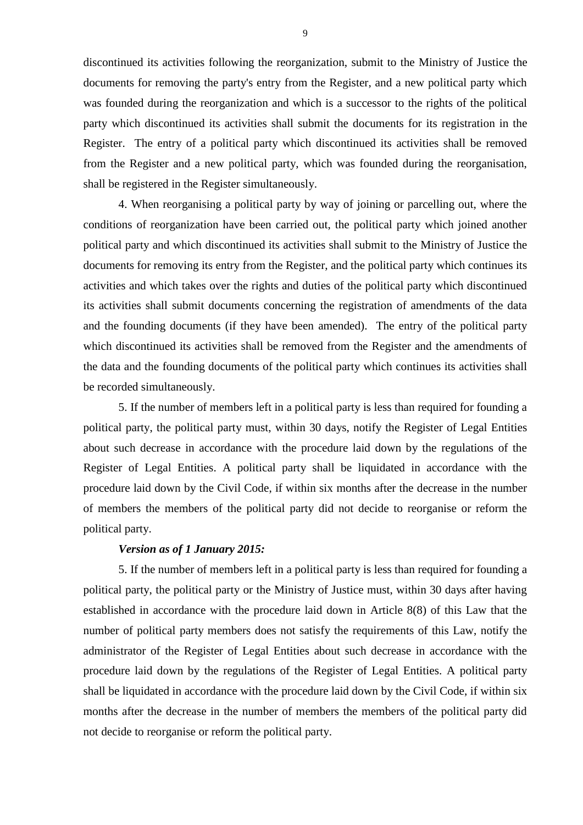discontinued its activities following the reorganization, submit to the Ministry of Justice the documents for removing the party's entry from the Register, and a new political party which was founded during the reorganization and which is a successor to the rights of the political party which discontinued its activities shall submit the documents for its registration in the Register. The entry of a political party which discontinued its activities shall be removed from the Register and a new political party, which was founded during the reorganisation, shall be registered in the Register simultaneously.

4. When reorganising a political party by way of joining or parcelling out, where the conditions of reorganization have been carried out, the political party which joined another political party and which discontinued its activities shall submit to the Ministry of Justice the documents for removing its entry from the Register, and the political party which continues its activities and which takes over the rights and duties of the political party which discontinued its activities shall submit documents concerning the registration of amendments of the data and the founding documents (if they have been amended). The entry of the political party which discontinued its activities shall be removed from the Register and the amendments of the data and the founding documents of the political party which continues its activities shall be recorded simultaneously.

5. If the number of members left in a political party is less than required for founding a political party, the political party must, within 30 days, notify the Register of Legal Entities about such decrease in accordance with the procedure laid down by the regulations of the Register of Legal Entities. A political party shall be liquidated in accordance with the procedure laid down by the Civil Code, if within six months after the decrease in the number of members the members of the political party did not decide to reorganise or reform the political party.

### *Version as of 1 January 2015:*

5. If the number of members left in a political party is less than required for founding a political party, the political party or the Ministry of Justice must, within 30 days after having established in accordance with the procedure laid down in Article 8(8) of this Law that the number of political party members does not satisfy the requirements of this Law, notify the administrator of the Register of Legal Entities about such decrease in accordance with the procedure laid down by the regulations of the Register of Legal Entities. A political party shall be liquidated in accordance with the procedure laid down by the Civil Code, if within six months after the decrease in the number of members the members of the political party did not decide to reorganise or reform the political party.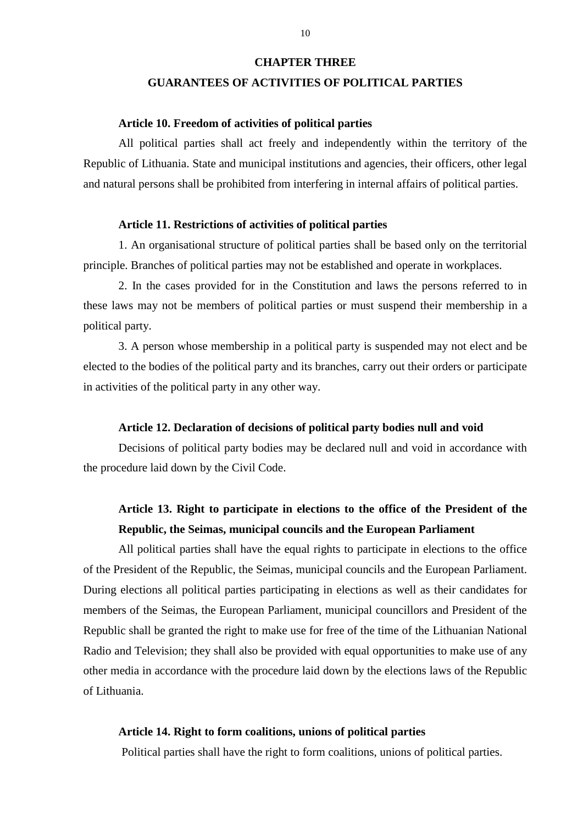#### **CHAPTER THREE**

### **GUARANTEES OF ACTIVITIES OF POLITICAL PARTIES**

### **Article 10. Freedom of activities of political parties**

All political parties shall act freely and independently within the territory of the Republic of Lithuania. State and municipal institutions and agencies, their officers, other legal and natural persons shall be prohibited from interfering in internal affairs of political parties.

### **Article 11. Restrictions of activities of political parties**

1. An organisational structure of political parties shall be based only on the territorial principle. Branches of political parties may not be established and operate in workplaces.

2. In the cases provided for in the Constitution and laws the persons referred to in these laws may not be members of political parties or must suspend their membership in a political party.

3. A person whose membership in a political party is suspended may not elect and be elected to the bodies of the political party and its branches, carry out their orders or participate in activities of the political party in any other way.

#### **Article 12. Declaration of decisions of political party bodies null and void**

Decisions of political party bodies may be declared null and void in accordance with the procedure laid down by the Civil Code.

## **Article 13. Right to participate in elections to the office of the President of the Republic, the Seimas, municipal councils and the European Parliament**

All political parties shall have the equal rights to participate in elections to the office of the President of the Republic, the Seimas, municipal councils and the European Parliament. During elections all political parties participating in elections as well as their candidates for members of the Seimas, the European Parliament, municipal councillors and President of the Republic shall be granted the right to make use for free of the time of the Lithuanian National Radio and Television; they shall also be provided with equal opportunities to make use of any other media in accordance with the procedure laid down by the elections laws of the Republic of Lithuania.

#### **Article 14. Right to form coalitions, unions of political parties**

Political parties shall have the right to form coalitions, unions of political parties.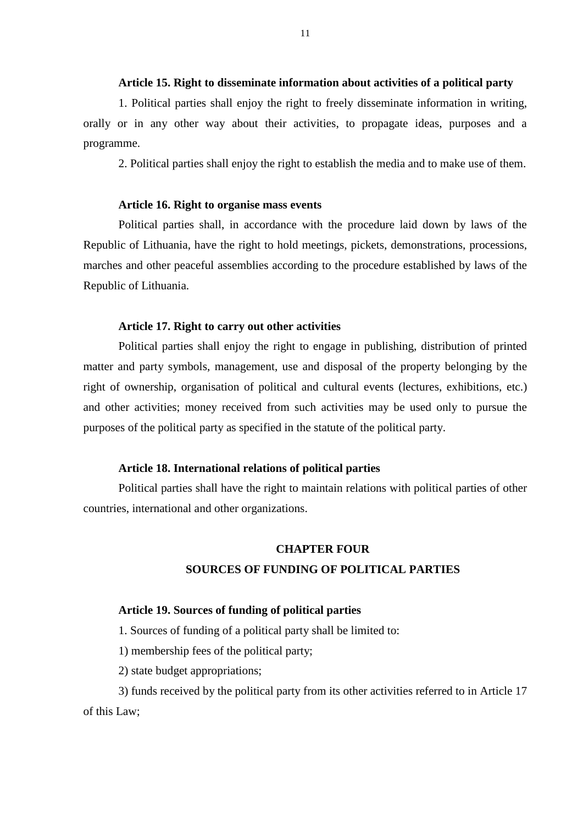### **Article 15. Right to disseminate information about activities of a political party**

1. Political parties shall enjoy the right to freely disseminate information in writing, orally or in any other way about their activities, to propagate ideas, purposes and a programme.

2. Political parties shall enjoy the right to establish the media and to make use of them.

#### **Article 16. Right to organise mass events**

Political parties shall, in accordance with the procedure laid down by laws of the Republic of Lithuania, have the right to hold meetings, pickets, demonstrations, processions, marches and other peaceful assemblies according to the procedure established by laws of the Republic of Lithuania.

### **Article 17. Right to carry out other activities**

Political parties shall enjoy the right to engage in publishing, distribution of printed matter and party symbols, management, use and disposal of the property belonging by the right of ownership, organisation of political and cultural events (lectures, exhibitions, etc.) and other activities; money received from such activities may be used only to pursue the purposes of the political party as specified in the statute of the political party.

## **Article 18. International relations of political parties**

Political parties shall have the right to maintain relations with political parties of other countries, international and other organizations.

### **CHAPTER FOUR**

### **SOURCES OF FUNDING OF POLITICAL PARTIES**

### **Article 19. Sources of funding of political parties**

1. Sources of funding of a political party shall be limited to:

1) membership fees of the political party;

2) state budget appropriations;

3) funds received by the political party from its other activities referred to in Article 17 of this Law;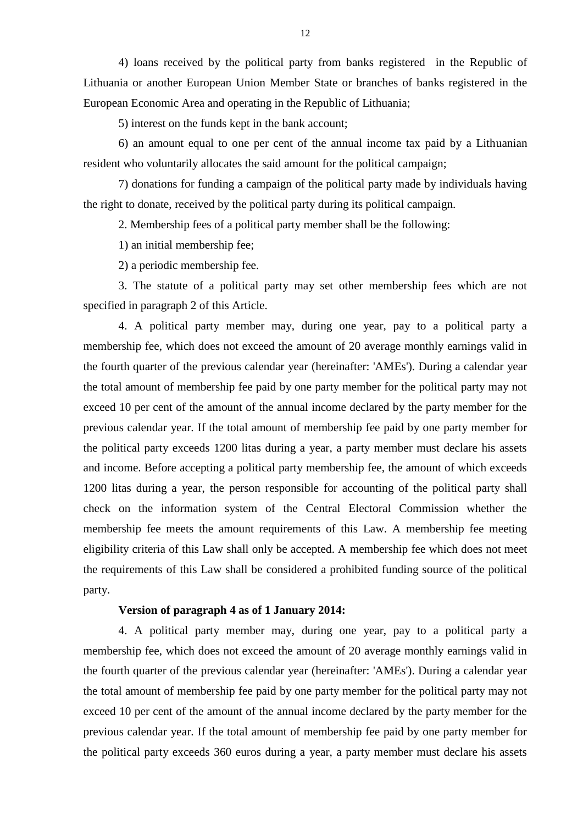4) loans received by the political party from banks registered in the Republic of Lithuania or another European Union Member State or branches of banks registered in the European Economic Area and operating in the Republic of Lithuania;

5) interest on the funds kept in the bank account;

6) an amount equal to one per cent of the annual income tax paid by a Lithuanian resident who voluntarily allocates the said amount for the political campaign;

7) donations for funding a campaign of the political party made by individuals having the right to donate, received by the political party during its political campaign.

2. Membership fees of a political party member shall be the following:

1) an initial membership fee;

2) a periodic membership fee.

3. The statute of a political party may set other membership fees which are not specified in paragraph 2 of this Article.

4. A political party member may, during one year, pay to a political party a membership fee, which does not exceed the amount of 20 average monthly earnings valid in the fourth quarter of the previous calendar year (hereinafter: 'AMEs'). During a calendar year the total amount of membership fee paid by one party member for the political party may not exceed 10 per cent of the amount of the annual income declared by the party member for the previous calendar year. If the total amount of membership fee paid by one party member for the political party exceeds 1200 litas during a year, a party member must declare his assets and income. Before accepting a political party membership fee, the amount of which exceeds 1200 litas during a year, the person responsible for accounting of the political party shall check on the information system of the Central Electoral Commission whether the membership fee meets the amount requirements of this Law. A membership fee meeting eligibility criteria of this Law shall only be accepted. A membership fee which does not meet the requirements of this Law shall be considered a prohibited funding source of the political party.

### **Version of paragraph 4 as of 1 January 2014:**

4. A political party member may, during one year, pay to a political party a membership fee, which does not exceed the amount of 20 average monthly earnings valid in the fourth quarter of the previous calendar year (hereinafter: 'AMEs'). During a calendar year the total amount of membership fee paid by one party member for the political party may not exceed 10 per cent of the amount of the annual income declared by the party member for the previous calendar year. If the total amount of membership fee paid by one party member for the political party exceeds 360 euros during a year, a party member must declare his assets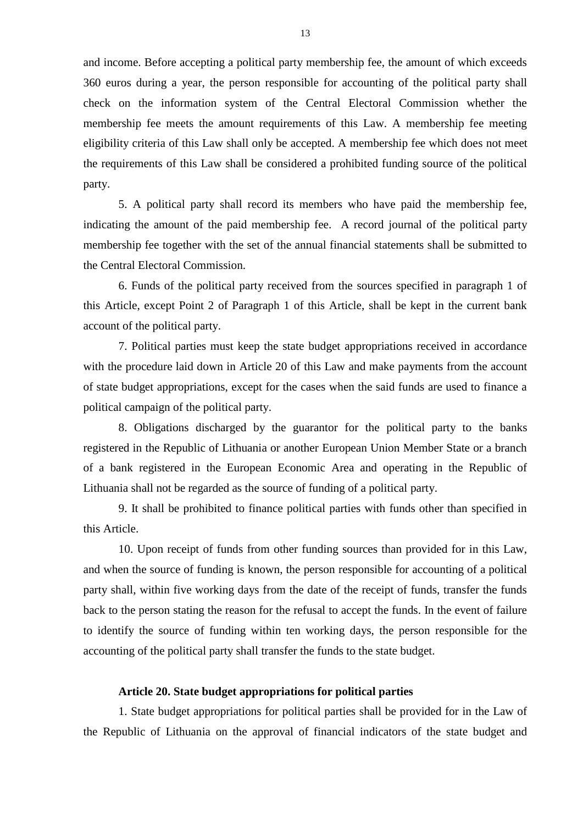and income. Before accepting a political party membership fee, the amount of which exceeds 360 euros during a year, the person responsible for accounting of the political party shall check on the information system of the Central Electoral Commission whether the membership fee meets the amount requirements of this Law. A membership fee meeting eligibility criteria of this Law shall only be accepted. A membership fee which does not meet the requirements of this Law shall be considered a prohibited funding source of the political party.

5. A political party shall record its members who have paid the membership fee, indicating the amount of the paid membership fee. A record journal of the political party membership fee together with the set of the annual financial statements shall be submitted to the Central Electoral Commission.

6. Funds of the political party received from the sources specified in paragraph 1 of this Article, except Point 2 of Paragraph 1 of this Article, shall be kept in the current bank account of the political party.

7. Political parties must keep the state budget appropriations received in accordance with the procedure laid down in Article 20 of this Law and make payments from the account of state budget appropriations, except for the cases when the said funds are used to finance a political campaign of the political party.

8. Obligations discharged by the guarantor for the political party to the banks registered in the Republic of Lithuania or another European Union Member State or a branch of a bank registered in the European Economic Area and operating in the Republic of Lithuania shall not be regarded as the source of funding of a political party.

9. It shall be prohibited to finance political parties with funds other than specified in this Article.

10. Upon receipt of funds from other funding sources than provided for in this Law, and when the source of funding is known, the person responsible for accounting of a political party shall, within five working days from the date of the receipt of funds, transfer the funds back to the person stating the reason for the refusal to accept the funds. In the event of failure to identify the source of funding within ten working days, the person responsible for the accounting of the political party shall transfer the funds to the state budget.

## **Article 20. State budget appropriations for political parties**

1. State budget appropriations for political parties shall be provided for in the Law of the Republic of Lithuania on the approval of financial indicators of the state budget and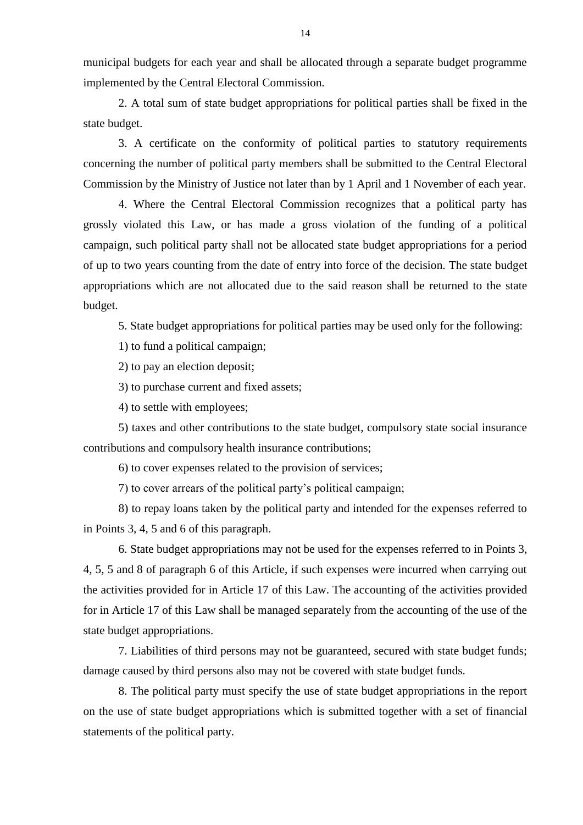municipal budgets for each year and shall be allocated through a separate budget programme implemented by the Central Electoral Commission.

2. A total sum of state budget appropriations for political parties shall be fixed in the state budget.

3. A certificate on the conformity of political parties to statutory requirements concerning the number of political party members shall be submitted to the Central Electoral Commission by the Ministry of Justice not later than by 1 April and 1 November of each year.

4. Where the Central Electoral Commission recognizes that a political party has grossly violated this Law, or has made a gross violation of the funding of a political campaign, such political party shall not be allocated state budget appropriations for a period of up to two years counting from the date of entry into force of the decision. The state budget appropriations which are not allocated due to the said reason shall be returned to the state budget.

5. State budget appropriations for political parties may be used only for the following:

1) to fund a political campaign;

2) to pay an election deposit;

3) to purchase current and fixed assets;

4) to settle with employees;

5) taxes and other contributions to the state budget, compulsory state social insurance contributions and compulsory health insurance contributions;

6) to cover expenses related to the provision of services;

7) to cover arrears of the political party's political campaign;

8) to repay loans taken by the political party and intended for the expenses referred to in Points 3, 4, 5 and 6 of this paragraph.

6. State budget appropriations may not be used for the expenses referred to in Points 3, 4, 5, 5 and 8 of paragraph 6 of this Article, if such expenses were incurred when carrying out the activities provided for in Article 17 of this Law. The accounting of the activities provided for in Article 17 of this Law shall be managed separately from the accounting of the use of the state budget appropriations.

7. Liabilities of third persons may not be guaranteed, secured with state budget funds; damage caused by third persons also may not be covered with state budget funds.

8. The political party must specify the use of state budget appropriations in the report on the use of state budget appropriations which is submitted together with a set of financial statements of the political party.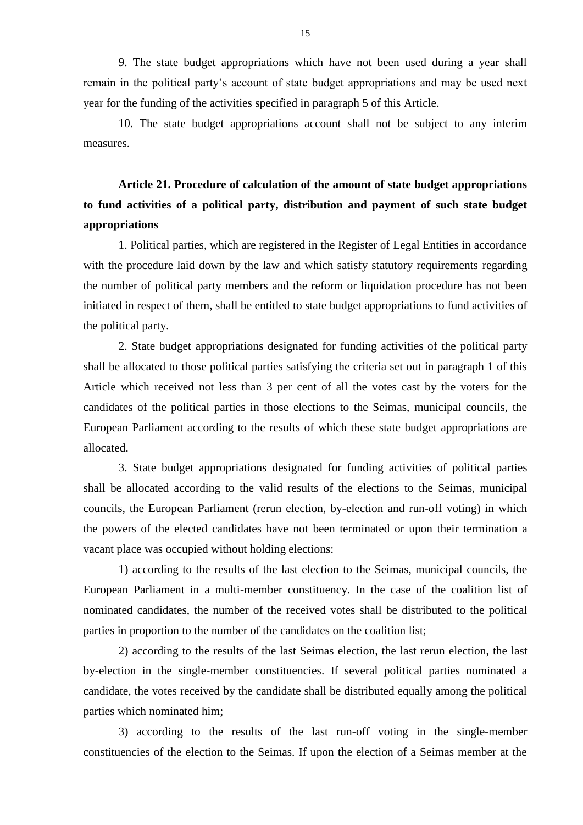9. The state budget appropriations which have not been used during a year shall remain in the political party's account of state budget appropriations and may be used next year for the funding of the activities specified in paragraph 5 of this Article.

10. The state budget appropriations account shall not be subject to any interim measures.

# **Article 21. Procedure of calculation of the amount of state budget appropriations to fund activities of a political party, distribution and payment of such state budget appropriations**

1. Political parties, which are registered in the Register of Legal Entities in accordance with the procedure laid down by the law and which satisfy statutory requirements regarding the number of political party members and the reform or liquidation procedure has not been initiated in respect of them, shall be entitled to state budget appropriations to fund activities of the political party.

2. State budget appropriations designated for funding activities of the political party shall be allocated to those political parties satisfying the criteria set out in paragraph 1 of this Article which received not less than 3 per cent of all the votes cast by the voters for the candidates of the political parties in those elections to the Seimas, municipal councils, the European Parliament according to the results of which these state budget appropriations are allocated.

3. State budget appropriations designated for funding activities of political parties shall be allocated according to the valid results of the elections to the Seimas, municipal councils, the European Parliament (rerun election, by-election and run-off voting) in which the powers of the elected candidates have not been terminated or upon their termination a vacant place was occupied without holding elections:

1) according to the results of the last election to the Seimas, municipal councils, the European Parliament in a multi-member constituency. In the case of the coalition list of nominated candidates, the number of the received votes shall be distributed to the political parties in proportion to the number of the candidates on the coalition list;

2) according to the results of the last Seimas election, the last rerun election, the last by-election in the single-member constituencies. If several political parties nominated a candidate, the votes received by the candidate shall be distributed equally among the political parties which nominated him;

3) according to the results of the last run-off voting in the single-member constituencies of the election to the Seimas. If upon the election of a Seimas member at the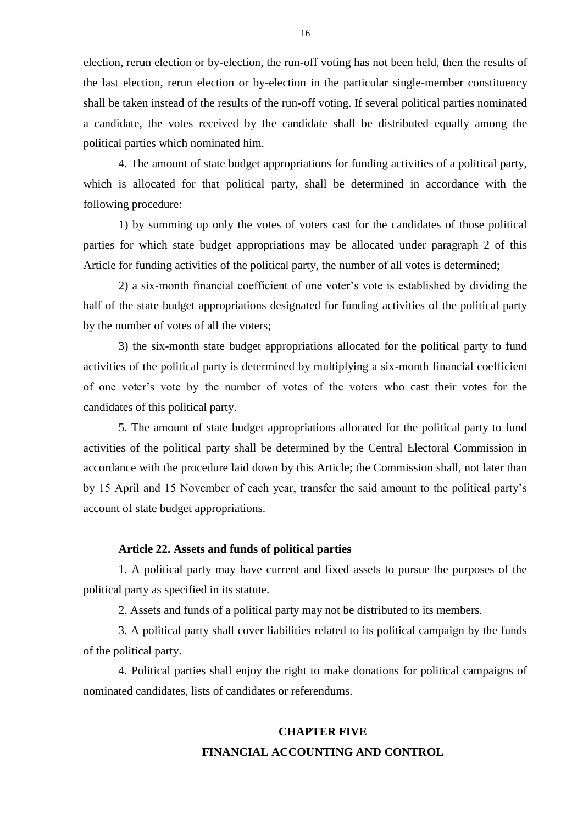election, rerun election or by-election, the run-off voting has not been held, then the results of the last election, rerun election or by-election in the particular single-member constituency shall be taken instead of the results of the run-off voting. If several political parties nominated a candidate, the votes received by the candidate shall be distributed equally among the political parties which nominated him.

4. The amount of state budget appropriations for funding activities of a political party, which is allocated for that political party, shall be determined in accordance with the following procedure:

1) by summing up only the votes of voters cast for the candidates of those political parties for which state budget appropriations may be allocated under paragraph 2 of this Article for funding activities of the political party, the number of all votes is determined;

2) a six-month financial coefficient of one voter's vote is established by dividing the half of the state budget appropriations designated for funding activities of the political party by the number of votes of all the voters;

3) the six-month state budget appropriations allocated for the political party to fund activities of the political party is determined by multiplying a six-month financial coefficient of one voter's vote by the number of votes of the voters who cast their votes for the candidates of this political party.

5. The amount of state budget appropriations allocated for the political party to fund activities of the political party shall be determined by the Central Electoral Commission in accordance with the procedure laid down by this Article; the Commission shall, not later than by 15 April and 15 November of each year, transfer the said amount to the political party's account of state budget appropriations.

### **Article 22. Assets and funds of political parties**

1. A political party may have current and fixed assets to pursue the purposes of the political party as specified in its statute.

2. Assets and funds of a political party may not be distributed to its members.

3. A political party shall cover liabilities related to its political campaign by the funds of the political party.

4. Political parties shall enjoy the right to make donations for political campaigns of nominated candidates, lists of candidates or referendums.

## **CHAPTER FIVE FINANCIAL ACCOUNTING AND CONTROL**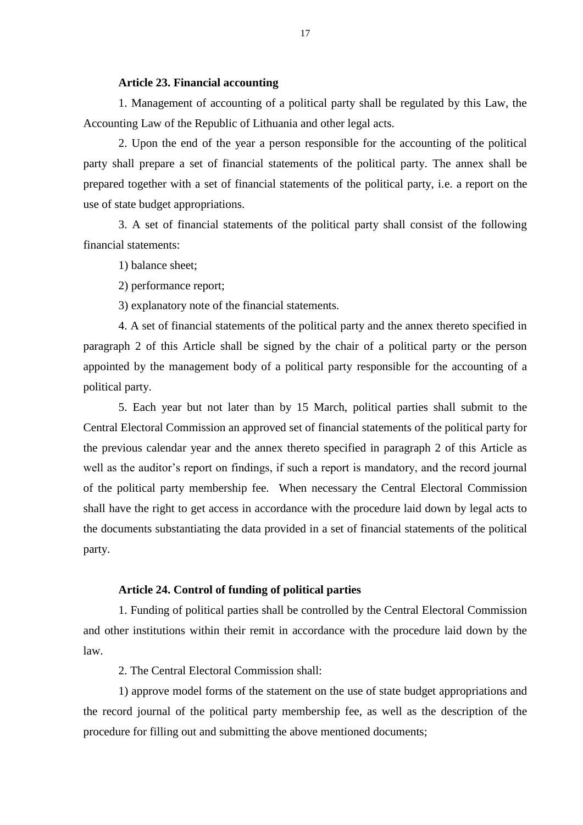### **Article 23. Financial accounting**

1. Management of accounting of a political party shall be regulated by this Law, the Accounting Law of the Republic of Lithuania and other legal acts.

2. Upon the end of the year a person responsible for the accounting of the political party shall prepare a set of financial statements of the political party. The annex shall be prepared together with a set of financial statements of the political party, i.e. a report on the use of state budget appropriations.

3. A set of financial statements of the political party shall consist of the following financial statements:

1) balance sheet;

2) performance report;

3) explanatory note of the financial statements.

4. A set of financial statements of the political party and the annex thereto specified in paragraph 2 of this Article shall be signed by the chair of a political party or the person appointed by the management body of a political party responsible for the accounting of a political party.

5. Each year but not later than by 15 March, political parties shall submit to the Central Electoral Commission an approved set of financial statements of the political party for the previous calendar year and the annex thereto specified in paragraph 2 of this Article as well as the auditor's report on findings, if such a report is mandatory, and the record journal of the political party membership fee. When necessary the Central Electoral Commission shall have the right to get access in accordance with the procedure laid down by legal acts to the documents substantiating the data provided in a set of financial statements of the political party.

### **Article 24. Control of funding of political parties**

1. Funding of political parties shall be controlled by the Central Electoral Commission and other institutions within their remit in accordance with the procedure laid down by the law.

2. The Central Electoral Commission shall:

1) approve model forms of the statement on the use of state budget appropriations and the record journal of the political party membership fee, as well as the description of the procedure for filling out and submitting the above mentioned documents;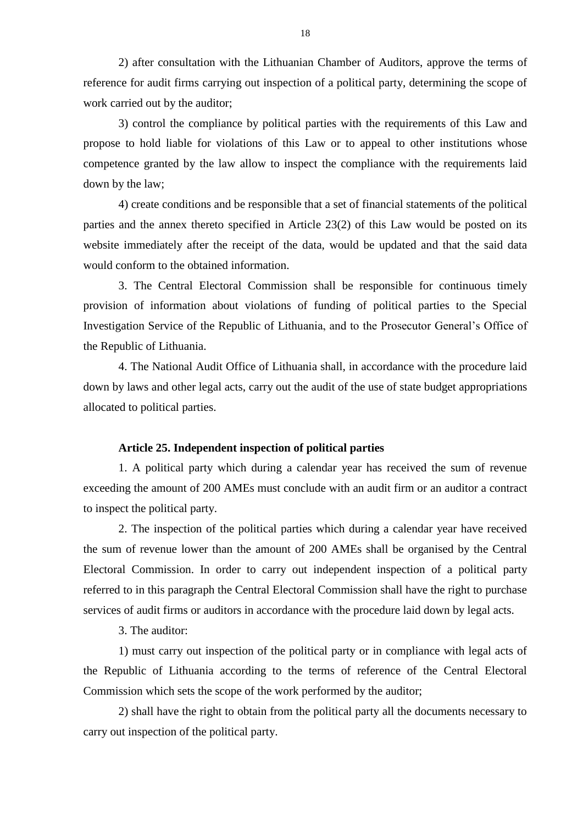2) after consultation with the Lithuanian Chamber of Auditors, approve the terms of reference for audit firms carrying out inspection of a political party, determining the scope of work carried out by the auditor;

3) control the compliance by political parties with the requirements of this Law and propose to hold liable for violations of this Law or to appeal to other institutions whose competence granted by the law allow to inspect the compliance with the requirements laid down by the law;

4) create conditions and be responsible that a set of financial statements of the political parties and the annex thereto specified in Article 23(2) of this Law would be posted on its website immediately after the receipt of the data, would be updated and that the said data would conform to the obtained information.

3. The Central Electoral Commission shall be responsible for continuous timely provision of information about violations of funding of political parties to the Special Investigation Service of the Republic of Lithuania, and to the Prosecutor General's Office of the Republic of Lithuania.

4. The National Audit Office of Lithuania shall, in accordance with the procedure laid down by laws and other legal acts, carry out the audit of the use of state budget appropriations allocated to political parties.

### **Article 25. Independent inspection of political parties**

1. A political party which during a calendar year has received the sum of revenue exceeding the amount of 200 AMEs must conclude with an audit firm or an auditor a contract to inspect the political party.

2. The inspection of the political parties which during a calendar year have received the sum of revenue lower than the amount of 200 AMEs shall be organised by the Central Electoral Commission. In order to carry out independent inspection of a political party referred to in this paragraph the Central Electoral Commission shall have the right to purchase services of audit firms or auditors in accordance with the procedure laid down by legal acts.

3. The auditor:

1) must carry out inspection of the political party or in compliance with legal acts of the Republic of Lithuania according to the terms of reference of the Central Electoral Commission which sets the scope of the work performed by the auditor;

2) shall have the right to obtain from the political party all the documents necessary to carry out inspection of the political party.

18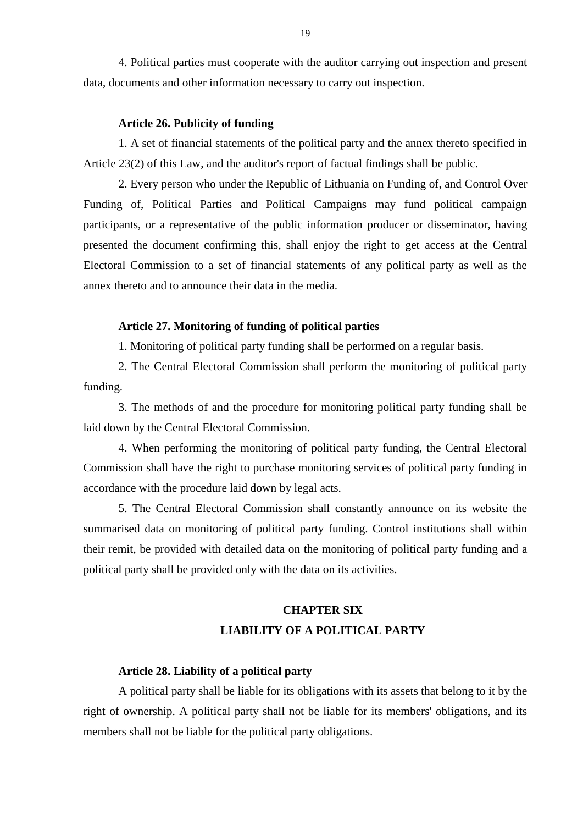4. Political parties must cooperate with the auditor carrying out inspection and present data, documents and other information necessary to carry out inspection.

### **Article 26. Publicity of funding**

1. A set of financial statements of the political party and the annex thereto specified in Article 23(2) of this Law, and the auditor's report of factual findings shall be public.

2. Every person who under the Republic of Lithuania on Funding of, and Control Over Funding of, Political Parties and Political Campaigns may fund political campaign participants, or a representative of the public information producer or disseminator, having presented the document confirming this, shall enjoy the right to get access at the Central Electoral Commission to a set of financial statements of any political party as well as the annex thereto and to announce their data in the media.

### **Article 27. Monitoring of funding of political parties**

1. Monitoring of political party funding shall be performed on a regular basis.

2. The Central Electoral Commission shall perform the monitoring of political party funding.

3. The methods of and the procedure for monitoring political party funding shall be laid down by the Central Electoral Commission.

4. When performing the monitoring of political party funding, the Central Electoral Commission shall have the right to purchase monitoring services of political party funding in accordance with the procedure laid down by legal acts.

5. The Central Electoral Commission shall constantly announce on its website the summarised data on monitoring of political party funding. Control institutions shall within their remit, be provided with detailed data on the monitoring of political party funding and a political party shall be provided only with the data on its activities.

## **CHAPTER SIX LIABILITY OF A POLITICAL PARTY**

### **Article 28. Liability of a political party**

A political party shall be liable for its obligations with its assets that belong to it by the right of ownership. A political party shall not be liable for its members' obligations, and its members shall not be liable for the political party obligations.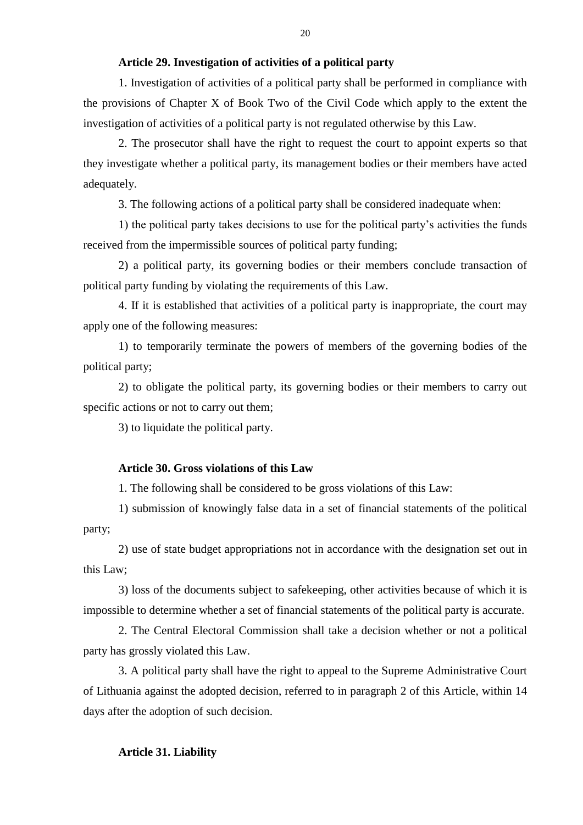## **Article 29. Investigation of activities of a political party**

1. Investigation of activities of a political party shall be performed in compliance with the provisions of Chapter X of Book Two of the Civil Code which apply to the extent the investigation of activities of a political party is not regulated otherwise by this Law.

2. The prosecutor shall have the right to request the court to appoint experts so that they investigate whether a political party, its management bodies or their members have acted adequately.

3. The following actions of a political party shall be considered inadequate when:

1) the political party takes decisions to use for the political party's activities the funds received from the impermissible sources of political party funding;

2) a political party, its governing bodies or their members conclude transaction of political party funding by violating the requirements of this Law.

4. If it is established that activities of a political party is inappropriate, the court may apply one of the following measures:

1) to temporarily terminate the powers of members of the governing bodies of the political party;

2) to obligate the political party, its governing bodies or their members to carry out specific actions or not to carry out them;

3) to liquidate the political party.

## **Article 30. Gross violations of this Law**

1. The following shall be considered to be gross violations of this Law:

1) submission of knowingly false data in a set of financial statements of the political party;

2) use of state budget appropriations not in accordance with the designation set out in this Law;

3) loss of the documents subject to safekeeping, other activities because of which it is impossible to determine whether a set of financial statements of the political party is accurate.

2. The Central Electoral Commission shall take a decision whether or not a political party has grossly violated this Law.

3. A political party shall have the right to appeal to the Supreme Administrative Court of Lithuania against the adopted decision, referred to in paragraph 2 of this Article, within 14 days after the adoption of such decision.

#### **Article 31. Liability**